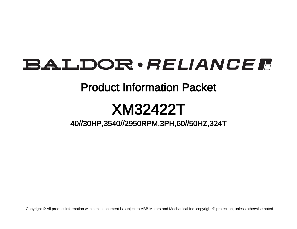# **BALDOR** · RELIANCE F

# Product Information Packet

# XM32422T

40//30HP,3540//2950RPM,3PH,60//50HZ,324T

Copyright © All product information within this document is subject to ABB Motors and Mechanical Inc. copyright © protection, unless otherwise noted.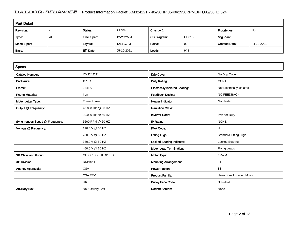# BALDOR · RELIANCE F Product Information Packet: XM32422T - 40//30HP,3540//2950RPM,3PH,60//50HZ,324T

| <b>Part Detail</b> |    |             |            |             |        |                      |            |  |
|--------------------|----|-------------|------------|-------------|--------|----------------------|------------|--|
| Revision:          |    | Status:     | PRD/A      | Change #:   |        | Proprietary:         | No         |  |
| Type:              | AC | Elec. Spec: | 12WGY584   | CD Diagram: | CD0180 | Mfg Plant:           |            |  |
| Mech. Spec:        |    | Layout:     | 12LYG783   | Poles:      | 02     | <b>Created Date:</b> | 04-29-2021 |  |
| Base:              |    | Eff. Date:  | 05-10-2021 | Leads:      | 9#8    |                      |            |  |

| <b>Specs</b>                   |                       |                                       |                                 |
|--------------------------------|-----------------------|---------------------------------------|---------------------------------|
| <b>Catalog Number:</b>         | XM32422T              | Drip Cover:                           | No Drip Cover                   |
| Enclosure:                     | <b>XPFC</b>           | Duty Rating:                          | <b>CONT</b>                     |
| Frame:                         | 324TS                 | <b>Electrically Isolated Bearing:</b> | Not Electrically Isolated       |
| <b>Frame Material:</b>         | Iron                  | <b>Feedback Device:</b>               | NO FEEDBACK                     |
| Motor Letter Type:             | <b>Three Phase</b>    | <b>Heater Indicator:</b>              | No Heater                       |
| Output @ Frequency:            | 40.000 HP @ 60 HZ     | <b>Insulation Class:</b>              | F                               |
|                                | 30.000 HP @ 50 HZ     | <b>Inverter Code:</b>                 | <b>Inverter Duty</b>            |
| Synchronous Speed @ Frequency: | 3600 RPM @ 60 HZ      | IP Rating:                            | <b>NONE</b>                     |
| Voltage @ Frequency:           | 190.0 V @ 50 HZ       | <b>KVA Code:</b>                      | H                               |
|                                | 230.0 V @ 60 HZ       | <b>Lifting Lugs:</b>                  | <b>Standard Lifting Lugs</b>    |
|                                | 380.0 V @ 50 HZ       | <b>Locked Bearing Indicator:</b>      | Locked Bearing                  |
|                                | 460.0 V @ 60 HZ       | <b>Motor Lead Termination:</b>        | <b>Flying Leads</b>             |
| XP Class and Group:            | CLI GP D; CLII GP F,G | Motor Type:                           | 1252M                           |
| <b>XP Division:</b>            | Division I            | <b>Mounting Arrangement:</b>          | F <sub>1</sub>                  |
| <b>Agency Approvals:</b>       | <b>CSA</b>            | <b>Power Factor:</b>                  | 88                              |
|                                | <b>CSA EEV</b>        | <b>Product Family:</b>                | <b>Hazardous Location Motor</b> |
|                                | <b>UR</b>             | Pulley Face Code:                     | Standard                        |
| <b>Auxillary Box:</b>          | No Auxillary Box      | <b>Rodent Screen:</b>                 | None                            |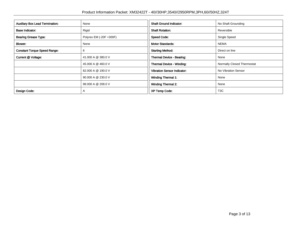| <b>Auxillary Box Lead Termination:</b> | None                    | <b>Shaft Ground Indicator:</b>     | No Shaft Grounding         |
|----------------------------------------|-------------------------|------------------------------------|----------------------------|
| <b>Base Indicator:</b>                 | Rigid                   | <b>Shaft Rotation:</b>             | Reversible                 |
| <b>Bearing Grease Type:</b>            | Polyrex EM (-20F +300F) | <b>Speed Code:</b>                 | Single Speed               |
| Blower:                                | None                    | <b>Motor Standards:</b>            | <b>NEMA</b>                |
| <b>Constant Torque Speed Range:</b>    | 6                       | <b>Starting Method:</b>            | Direct on line             |
| Current @ Voltage:                     | 41.000 A @ 380.0 V      | Thermal Device - Bearing:          | None                       |
|                                        | 45.000 A @ 460.0 V      | <b>Thermal Device - Winding:</b>   | Normally Closed Thermostat |
|                                        | 82.000 A @ 190.0 V      | <b>Vibration Sensor Indicator:</b> | No Vibration Sensor        |
|                                        | 90.000 A @ 230.0 V      | <b>Winding Thermal 1:</b>          | None                       |
|                                        | 98.000 A @ 208.0 V      | <b>Winding Thermal 2:</b>          | None                       |
| Design Code:                           | $\mathsf{A}$            | <b>XP Temp Code:</b>               | T <sub>3</sub> C           |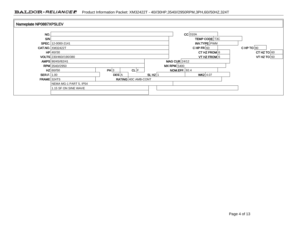## BALDOR · RELIANCE F Product Information Packet: XM32422T - 40//30HP,3540//2950RPM,3PH,60//50HZ,324T

| Nameplate NP0887XPSLEV |                         |              |                     |                      |                      |                               |                |  |               |  |
|------------------------|-------------------------|--------------|---------------------|----------------------|----------------------|-------------------------------|----------------|--|---------------|--|
|                        |                         |              |                     |                      |                      |                               |                |  |               |  |
| NO.                    |                         |              |                     |                      |                      | $CC$ 010A                     |                |  |               |  |
| <b>S/N</b>             |                         |              |                     |                      |                      |                               | TEMP CODE T3C  |  |               |  |
|                        | SPEC. 12-0000-2141      |              |                     |                      |                      |                               | INV.TYPE PWM   |  |               |  |
|                        | <b>CAT.NO. XM32422T</b> |              |                     |                      |                      | CHPFR $ 60$                   |                |  | CHP TO $90$   |  |
|                        | $HP$ 40//30             |              |                     |                      |                      |                               | CT HZ FROM $6$ |  | CT HZ TO $60$ |  |
|                        | VOLTS 230/460//190/380  |              |                     |                      |                      | VT HZ TO $60$<br>VT HZ FROM 6 |                |  |               |  |
|                        | AMPS 90/45//82/41       |              |                     | MAG CUR $24/12$      |                      |                               |                |  |               |  |
|                        | RPM 3540//2950          |              |                     |                      | $MX$ RPM 5400        |                               |                |  |               |  |
|                        | $HZ$ 60//50             | PH 3         | CL F                |                      | <b>NOM.EFF.</b> 92.4 |                               |                |  |               |  |
| <b>SER.F.</b> 1.00     |                         | <b>DES</b> A |                     | $SL HZ$ <sub>1</sub> |                      | $WK2$ 4.07                    |                |  |               |  |
| <b>FRAME 324TS</b>     |                         |              | RATING 40C AMB-CONT |                      |                      |                               |                |  |               |  |
|                        | NEMA MG-1 PART 5, IP54  |              |                     |                      |                      |                               |                |  |               |  |
|                        | 1.15 SF ON SINE WAVE    |              |                     |                      |                      |                               |                |  |               |  |
|                        |                         |              |                     |                      |                      |                               |                |  |               |  |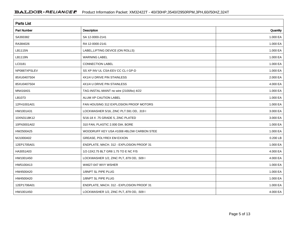| <b>Parts List</b>  |                                          |          |
|--------------------|------------------------------------------|----------|
| <b>Part Number</b> | Description                              | Quantity |
| SA393382           | SA 12-0000-2141                          | 1.000 EA |
| RA384026           | RA 12-0000-2141                          | 1.000 EA |
| LB1115N            | LABEL, LIFTING DEVICE (ON ROLLS)         | 1.000 EA |
| <b>LB1119N</b>     | <b>WARNING LABEL</b>                     | 1.000 EA |
| LC0181             | <b>CONNECTION LABEL</b>                  | 1.000 EA |
| NP0887XPSLEV       | SS XP INV UL CSA-EEV CC CL-I GP-D        | 1.000 EA |
| 85XU0407S04        | 4X1/4 U DRIVE PIN STAINLESS              | 2.000 EA |
| 85XU0407S04        | 4X1/4 U DRIVE PIN STAINLESS              | 4.000 EA |
| MN416A01           | TAG-INSTAL-MAINT no wire (2100/bx) 4/22  | 1.000 EA |
| LB1073             | ALUM XP CAUTION LABEL                    | 1.000 EA |
| 12FH1001A01        | FAN HOUSING 312 EXPLOSION PROOF MOTORS   | 1.000 EA |
| HW1001A31          | LOCKWASHER 5/16, ZINC PLT.591 OD, .319 I | 3.000 EA |
| 10XN3118K12        | 5/16-18 X .75 GRADE 5, ZINC PLATED       | 3.000 EA |
| 10FN3001A02        | 310 FAN, PLASTIC 2.000 DIA. BORE         | 1.000 EA |
| HW2500A25          | WOODRUFF KEY USA #1008 #BLOW CARBON STEE | 1.000 EA |
| MJ1000A02          | GREASE, POLYREX EM EXXON                 | 0.200 LB |
| 12EP1705A01        | ENDPLATE, MACH. 312 - EXPLOSION PROOF 31 | 1.000 EA |
| HA3051A03          | 1/2-13X2.75 BLT GR8 1.75 TO E NC F/S     | 4.000 EA |
| HW1001A50          | LOCKWASHER 1/2, ZINC PLT, 879 OD, .509 I | 4.000 EA |
| HW5100A13          | W4627-047 WVY WSHER                      | 1.000 EA |
| HW4500A20          | 1/8NPT SL PIPE PLUG                      | 1.000 EA |
| HW4500A20          | 1/8NPT SL PIPE PLUG                      | 1.000 EA |
| 12EP1706A01        | ENDPLATE, MACH. 312 - EXPLOSION PROOF 31 | 1.000 EA |
| HW1001A50          | LOCKWASHER 1/2, ZINC PLT, 879 OD, .509 I | 4.000 EA |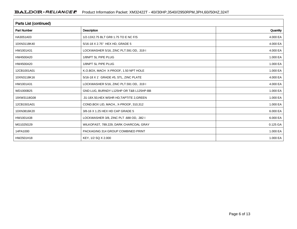| <b>Parts List (continued)</b> |                                           |          |
|-------------------------------|-------------------------------------------|----------|
| <b>Part Number</b>            | <b>Description</b>                        | Quantity |
| HA3051A03                     | 1/2-13X2.75 BLT GR8 1.75 TO E NC F/S      | 4.000 EA |
| 10XN3118K40                   | 5/16-18 X 2.75" HEX HD, GRADE 5           | 4.000 EA |
| HW1001A31                     | LOCKWASHER 5/16, ZINC PLT.591 OD, .319 I  | 4.000 EA |
| HW4500A20                     | 1/8NPT SL PIPE PLUG                       | 1.000 EA |
| HW4500A20                     | 1/8NPT SL PIPE PLUG                       | 1.000 EA |
| 12CB1001A01                   | K.O.BOX, MACH X-PROOF, 1.50 NPT HOLE      | 1.000 EA |
| 10XN3118K16                   | 5/16-18 X 1' GRADE #5, STL, ZINC PLATE    | 4.000 EA |
| HW1001A31                     | LOCKWASHER 5/16, ZINC PLT.591 OD, .319 I  | 4.000 EA |
| WD1000B25                     | GND LUG, BURNDY L125HP OR T&B L125HP-BB   | 1.000 EA |
| 19XW3118G08                   | .31-18X.50, HEX WSHR HD, TAPTITE 2, GREEN | 1.000 EA |
| 12CB1501A01                   | COND.BOX LID, MACH., X-PROOF, 310,312     | 1.000 EA |
| 10XN3816K20                   | 3/8-16 X 1.25 HEX HD CAP GRADE 5          | 6.000 EA |
| HW1001A38                     | LOCKWASHER 3/8, ZINC PLT .688 OD, .382 I  | 6.000 EA |
| MG1025G29                     | WILKOFAST, 789.229, DARK CHARCOAL GRAY    | 0.125 GA |
| 14PA1000                      | PACKAGING 314 GROUP COMBINED PRINT        | 1.000 EA |
| HW2501H18                     | KEY, 1/2 SQ X 2.000                       | 1.000 EA |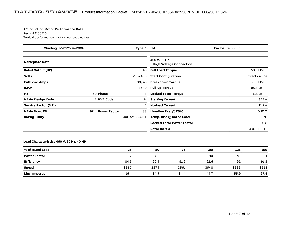#### **AC Induction Motor Performance Data**

Record # 66216Typical performance - not guaranteed values

| <b>Winding: 12WGY584-R006</b><br><b>Type: 1252M</b> |                   |              | <b>Enclosure: XPFC</b>                          |                |
|-----------------------------------------------------|-------------------|--------------|-------------------------------------------------|----------------|
| <b>Nameplate Data</b>                               |                   |              | 460 V, 60 Hz:<br><b>High Voltage Connection</b> |                |
| <b>Rated Output (HP)</b>                            |                   | 40           | <b>Full Load Torque</b>                         | 59.2 LB-FT     |
| <b>Volts</b>                                        |                   | 230/460      | <b>Start Configuration</b>                      | direct on line |
| <b>Full Load Amps</b>                               |                   | 90/45        | <b>Breakdown Torque</b>                         | 250 LB-FT      |
| <b>R.P.M.</b>                                       |                   | 3540         | <b>Pull-up Torque</b>                           | 85.8 LB-FT     |
| Hz                                                  | 60 Phase          | 3            | <b>Locked-rotor Torque</b>                      | 118 LB-FT      |
| <b>NEMA Design Code</b>                             | A KVA Code        | н            | <b>Starting Current</b>                         | 325 A          |
| Service Factor (S.F.)                               |                   |              | <b>No-load Current</b>                          | 11.7A          |
| <b>NEMA Nom. Eff.</b>                               | 92.4 Power Factor | 88           | Line-line Res. $@$ 25 $°C$                      | $0.12 \Omega$  |
| <b>Rating - Duty</b>                                |                   | 40C AMB-CONT | Temp. Rise @ Rated Load                         | $59^{\circ}$ C |
|                                                     |                   |              | <b>Locked-rotor Power Factor</b>                | 20.8           |
|                                                     |                   |              | <b>Rotor inertia</b>                            | 4.07 LB-FT2    |

### **Load Characteristics 460 V, 60 Hz, 40 HP**

| % of Rated Load     | 25   | 50   | 75   | 100  | 125  | 150  |
|---------------------|------|------|------|------|------|------|
| <b>Power Factor</b> | 67   | 83   | 89   | 90   | 91   | 91   |
| Efficiency          | 84.6 | 90.4 | 91.9 | 92.6 | 92   | 91.5 |
| <b>Speed</b>        | 3587 | 3574 | 3561 | 3548 | 3533 | 3518 |
| Line amperes        | 16.4 | 24.7 | 34.4 | 44.7 | 55.9 | 67.4 |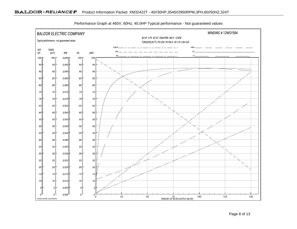

Performance Graph at 460V, 60Hz, 40.0HP Typical performance - Not guaranteed values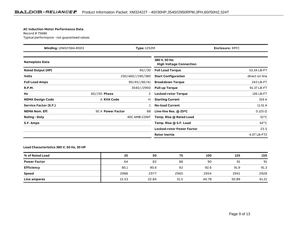#### **AC Induction Motor Performance Data**

Record # 75686Typical performance - not guaranteed values

| <b>Winding: 12WGY584-R003</b> |                   | <b>Type: 1252M</b> |                                                 | <b>Enclosure: XPFC</b> |
|-------------------------------|-------------------|--------------------|-------------------------------------------------|------------------------|
| Nameplate Data                |                   |                    | 380 V, 50 Hz:<br><b>High Voltage Connection</b> |                        |
| <b>Rated Output (HP)</b>      |                   | 40//30             | <b>Full Load Torque</b>                         | 53.34 LB-FT            |
| <b>Volts</b>                  |                   | 230/460//190/380   | <b>Start Configuration</b>                      | direct on line         |
| <b>Full Load Amps</b>         |                   | 90/45//82/41       | <b>Breakdown Torque</b>                         | 243 LB-FT              |
| <b>R.P.M.</b>                 |                   | 3540//2950         | <b>Pull-up Torque</b>                           | 91.37 LB-FT            |
| Hz                            | $60//50$ Phase    | 3                  | <b>Locked-rotor Torque</b>                      | 126 LB-FT              |
| <b>NEMA Design Code</b>       | A KVA Code        | н                  | <b>Starting Current</b>                         | 319 A                  |
| <b>Service Factor (S.F.)</b>  |                   |                    | <b>No-load Current</b>                          | 11.51 A                |
| <b>NEMA Nom. Eff.</b>         | 92.4 Power Factor | 88                 | Line-line Res. @ 25°C                           | $0.125 \Omega$         |
| <b>Rating - Duty</b>          |                   | 40C AMB-CONT       | Temp. Rise @ Rated Load                         | $51^{\circ}$ C         |
| S.F. Amps                     |                   |                    | Temp. Rise @ S.F. Load                          | $62^{\circ}$ C         |
|                               |                   |                    | <b>Locked-rotor Power Factor</b>                | 23.5                   |
|                               |                   |                    | Rotor inertia                                   | 4.07 LB-FT2            |

### **Load Characteristics 380 V, 50 Hz, 30 HP**

| % of Rated Load     | 25    | 50    | 75   | 100   | 125   | 150   |
|---------------------|-------|-------|------|-------|-------|-------|
| <b>Power Factor</b> | 64    | 82    | 88   | 90    | 91    | 91    |
| <b>Efficiency</b>   | 85.1  | 90.6  | 92   | 92.6  | 91.9  | 91.3  |
| <b>Speed</b>        | 2988  | 2977  | 2965 | 2954  | 2941  | 2928  |
| Line amperes        | 15.53 | 22.84 | 31.5 | 40.78 | 50.89 | 61.21 |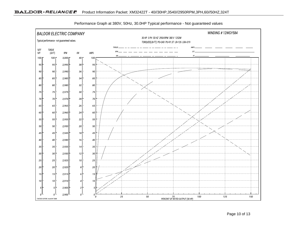

Performance Graph at 380V, 50Hz, 30.0HP Typical performance - Not guaranteed values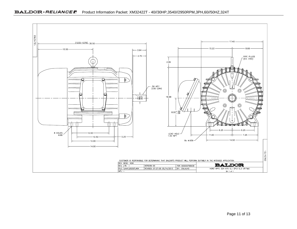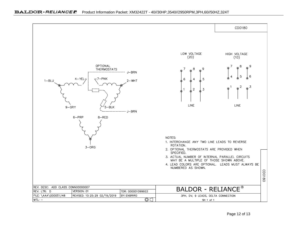